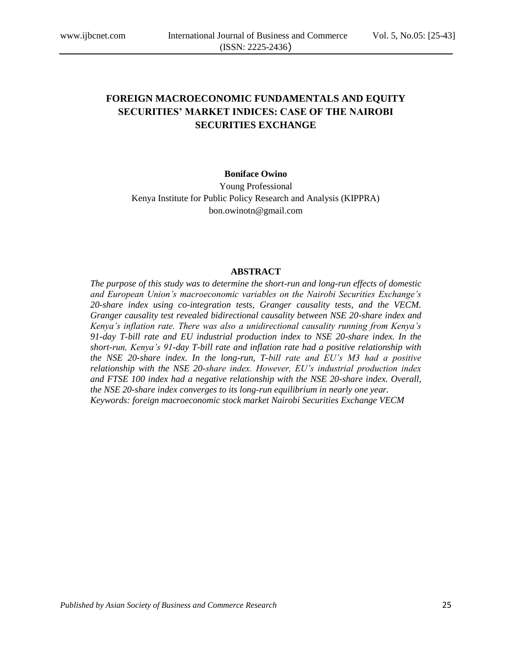# **FOREIGN MACROECONOMIC FUNDAMENTALS AND EQUITY SECURITIES' MARKET INDICES: CASE OF THE NAIROBI SECURITIES EXCHANGE**

## **Boniface Owino**

Young Professional Kenya Institute for Public Policy Research and Analysis (KIPPRA) bon.owinotn@gmail.com

#### **ABSTRACT**

*The purpose of this study was to determine the short-run and long-run effects of domestic and European Union's macroeconomic variables on the Nairobi Securities Exchange's 20-share index using co-integration tests, Granger causality tests, and the VECM. Granger causality test revealed bidirectional causality between NSE 20-share index and Kenya's inflation rate. There was also a unidirectional causality running from Kenya's 91-day T-bill rate and EU industrial production index to NSE 20-share index. In the short-run, Kenya's 91-day T-bill rate and inflation rate had a positive relationship with the NSE 20-share index. In the long-run, T-bill rate and EU's M3 had a positive relationship with the NSE 20-share index. However, EU's industrial production index and FTSE 100 index had a negative relationship with the NSE 20-share index. Overall, the NSE 20-share index converges to its long-run equilibrium in nearly one year. Keywords: foreign macroeconomic stock market Nairobi Securities Exchange VECM*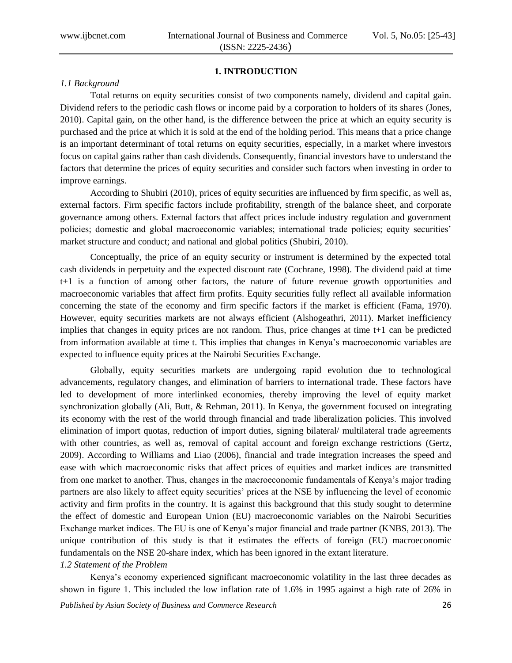# **1. INTRODUCTION**

## *1.1 Background*

Total returns on equity securities consist of two components namely, dividend and capital gain. Dividend refers to the periodic cash flows or income paid by a corporation to holders of its shares (Jones, 2010). Capital gain, on the other hand, is the difference between the price at which an equity security is purchased and the price at which it is sold at the end of the holding period. This means that a price change is an important determinant of total returns on equity securities, especially, in a market where investors focus on capital gains rather than cash dividends. Consequently, financial investors have to understand the factors that determine the prices of equity securities and consider such factors when investing in order to improve earnings.

According to Shubiri (2010), prices of equity securities are influenced by firm specific, as well as, external factors. Firm specific factors include profitability, strength of the balance sheet, and corporate governance among others. External factors that affect prices include industry regulation and government policies; domestic and global macroeconomic variables; international trade policies; equity securities' market structure and conduct; and national and global politics (Shubiri, 2010).

Conceptually, the price of an equity security or instrument is determined by the expected total cash dividends in perpetuity and the expected discount rate (Cochrane, 1998). The dividend paid at time t+1 is a function of among other factors, the nature of future revenue growth opportunities and macroeconomic variables that affect firm profits. Equity securities fully reflect all available information concerning the state of the economy and firm specific factors if the market is efficient (Fama, 1970). However, equity securities markets are not always efficient (Alshogeathri, 2011). Market inefficiency implies that changes in equity prices are not random. Thus, price changes at time t+1 can be predicted from information available at time t. This implies that changes in Kenya's macroeconomic variables are expected to influence equity prices at the Nairobi Securities Exchange.

Globally, equity securities markets are undergoing rapid evolution due to technological advancements, regulatory changes, and elimination of barriers to international trade. These factors have led to development of more interlinked economies, thereby improving the level of equity market synchronization globally (Ali, Butt, & Rehman, 2011). In Kenya, the government focused on integrating its economy with the rest of the world through financial and trade liberalization policies. This involved elimination of import quotas, reduction of import duties, signing bilateral/ multilateral trade agreements with other countries, as well as, removal of capital account and foreign exchange restrictions (Gertz, 2009). According to Williams and Liao (2006), financial and trade integration increases the speed and ease with which macroeconomic risks that affect prices of equities and market indices are transmitted from one market to another. Thus, changes in the macroeconomic fundamentals of Kenya's major trading partners are also likely to affect equity securities' prices at the NSE by influencing the level of economic activity and firm profits in the country. It is against this background that this study sought to determine the effect of domestic and European Union (EU) macroeconomic variables on the Nairobi Securities Exchange market indices. The EU is one of Kenya's major financial and trade partner (KNBS, 2013). The unique contribution of this study is that it estimates the effects of foreign (EU) macroeconomic fundamentals on the NSE 20-share index, which has been ignored in the extant literature.

## *1.2 Statement of the Problem*

Kenya's economy experienced significant macroeconomic volatility in the last three decades as shown in figure 1. This included the low inflation rate of 1.6% in 1995 against a high rate of 26% in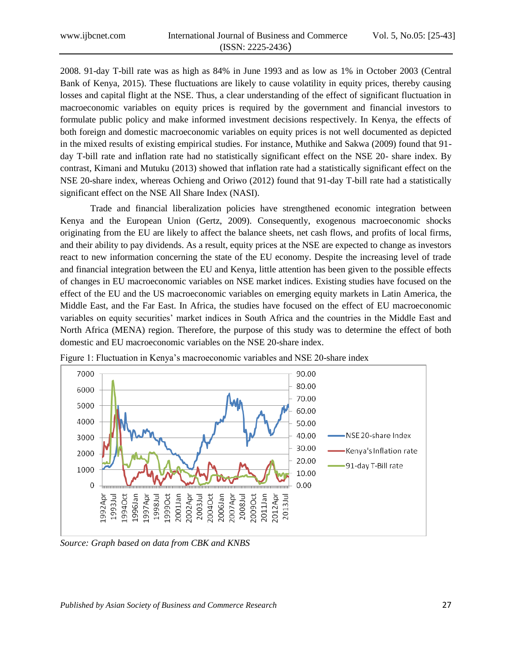2008. 91-day T-bill rate was as high as 84% in June 1993 and as low as 1% in October 2003 (Central Bank of Kenya, 2015). These fluctuations are likely to cause volatility in equity prices, thereby causing losses and capital flight at the NSE. Thus, a clear understanding of the effect of significant fluctuation in macroeconomic variables on equity prices is required by the government and financial investors to formulate public policy and make informed investment decisions respectively. In Kenya, the effects of both foreign and domestic macroeconomic variables on equity prices is not well documented as depicted in the mixed results of existing empirical studies. For instance, Muthike and Sakwa (2009) found that 91 day T-bill rate and inflation rate had no statistically significant effect on the NSE 20- share index. By contrast, Kimani and Mutuku (2013) showed that inflation rate had a statistically significant effect on the NSE 20-share index, whereas Ochieng and Oriwo (2012) found that 91-day T-bill rate had a statistically significant effect on the NSE All Share Index (NASI).

Trade and financial liberalization policies have strengthened economic integration between Kenya and the European Union (Gertz, 2009). Consequently, exogenous macroeconomic shocks originating from the EU are likely to affect the balance sheets, net cash flows, and profits of local firms, and their ability to pay dividends. As a result, equity prices at the NSE are expected to change as investors react to new information concerning the state of the EU economy. Despite the increasing level of trade and financial integration between the EU and Kenya, little attention has been given to the possible effects of changes in EU macroeconomic variables on NSE market indices. Existing studies have focused on the effect of the EU and the US macroeconomic variables on emerging equity markets in Latin America, the Middle East, and the Far East. In Africa, the studies have focused on the effect of EU macroeconomic variables on equity securities' market indices in South Africa and the countries in the Middle East and North Africa (MENA) region. Therefore, the purpose of this study was to determine the effect of both domestic and EU macroeconomic variables on the NSE 20-share index.



Figure 1: Fluctuation in Kenya's macroeconomic variables and NSE 20-share index

*Source: Graph based on data from CBK and KNBS*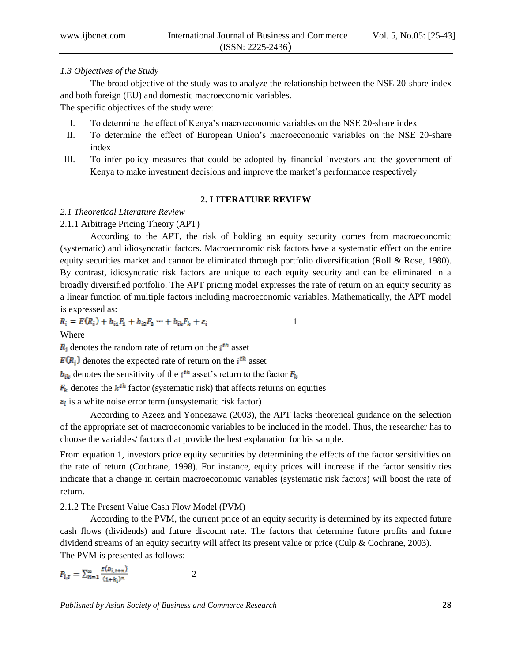### *1.3 Objectives of the Study*

The broad objective of the study was to analyze the relationship between the NSE 20-share index and both foreign (EU) and domestic macroeconomic variables.

The specific objectives of the study were:

- I. To determine the effect of Kenya's macroeconomic variables on the NSE 20-share index
- II. To determine the effect of European Union's macroeconomic variables on the NSE 20-share index
- III. To infer policy measures that could be adopted by financial investors and the government of Kenya to make investment decisions and improve the market's performance respectively

## **2. LITERATURE REVIEW**

## *2.1 Theoretical Literature Review*

## 2.1.1 Arbitrage Pricing Theory (APT)

According to the APT, the risk of holding an equity security comes from macroeconomic (systematic) and idiosyncratic factors. Macroeconomic risk factors have a systematic effect on the entire equity securities market and cannot be eliminated through portfolio diversification (Roll & Rose, 1980). By contrast, idiosyncratic risk factors are unique to each equity security and can be eliminated in a broadly diversified portfolio. The APT pricing model expresses the rate of return on an equity security as a linear function of multiple factors including macroeconomic variables. Mathematically, the APT model is expressed as:

$$
R_i = E(R_i) + b_{i1}F_1 + b_{i2}F_2 \cdots + b_{ik}F_k + \varepsilon_i
$$

Where

 $R_i$  denotes the random rate of return on the  $i<sup>th</sup>$  asset

 $E(R_i)$  denotes the expected rate of return on the  $i^{\text{th}}$  asset

 $b_{ik}$  denotes the sensitivity of the *i*<sup>th</sup> asset's return to the factor  $F_k$ 

 $F_k$  denotes the  $k<sup>th</sup>$  factor (systematic risk) that affects returns on equities

 $\epsilon_i$  is a white noise error term (unsystematic risk factor)

According to Azeez and Yonoezawa (2003), the APT lacks theoretical guidance on the selection of the appropriate set of macroeconomic variables to be included in the model. Thus, the researcher has to choose the variables/ factors that provide the best explanation for his sample.

From equation 1, investors price equity securities by determining the effects of the factor sensitivities on the rate of return (Cochrane, 1998). For instance, equity prices will increase if the factor sensitivities indicate that a change in certain macroeconomic variables (systematic risk factors) will boost the rate of return.

## 2.1.2 The Present Value Cash Flow Model (PVM)

According to the PVM, the current price of an equity security is determined by its expected future cash flows (dividends) and future discount rate. The factors that determine future profits and future dividend streams of an equity security will affect its present value or price (Culp & Cochrane, 2003). The PVM is presented as follows:

$$
P_{i,t} = \sum_{n=1}^{\infty} \frac{E(D_{i,t+n})}{(1+k_i)^n}
$$
 2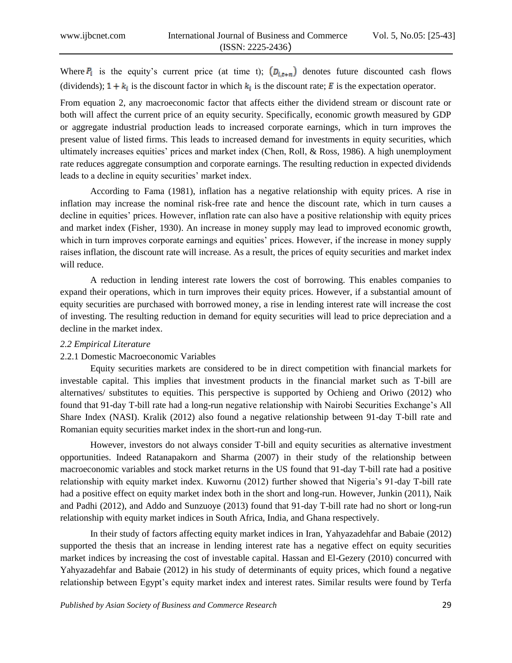Where  $P_i$  is the equity's current price (at time t);  $(D_{i,t+n})$  denotes future discounted cash flows (dividends);  $1 + k_i$  is the discount factor in which  $k_i$  is the discount rate; E is the expectation operator.

From equation 2, any macroeconomic factor that affects either the dividend stream or discount rate or both will affect the current price of an equity security. Specifically, economic growth measured by GDP or aggregate industrial production leads to increased corporate earnings, which in turn improves the present value of listed firms. This leads to increased demand for investments in equity securities, which ultimately increases equities' prices and market index (Chen, Roll, & Ross, 1986). A high unemployment rate reduces aggregate consumption and corporate earnings. The resulting reduction in expected dividends leads to a decline in equity securities' market index.

According to Fama (1981), inflation has a negative relationship with equity prices. A rise in inflation may increase the nominal risk-free rate and hence the discount rate, which in turn causes a decline in equities' prices. However, inflation rate can also have a positive relationship with equity prices and market index (Fisher, 1930). An increase in money supply may lead to improved economic growth, which in turn improves corporate earnings and equities' prices. However, if the increase in money supply raises inflation, the discount rate will increase. As a result, the prices of equity securities and market index will reduce.

A reduction in lending interest rate lowers the cost of borrowing. This enables companies to expand their operations, which in turn improves their equity prices. However, if a substantial amount of equity securities are purchased with borrowed money, a rise in lending interest rate will increase the cost of investing. The resulting reduction in demand for equity securities will lead to price depreciation and a decline in the market index.

## *2.2 Empirical Literature*

## 2.2.1 Domestic Macroeconomic Variables

Equity securities markets are considered to be in direct competition with financial markets for investable capital. This implies that investment products in the financial market such as T-bill are alternatives/ substitutes to equities. This perspective is supported by Ochieng and Oriwo (2012) who found that 91-day T-bill rate had a long-run negative relationship with Nairobi Securities Exchange's All Share Index (NASI). Kralik (2012) also found a negative relationship between 91-day T-bill rate and Romanian equity securities market index in the short-run and long-run.

However, investors do not always consider T-bill and equity securities as alternative investment opportunities. Indeed Ratanapakorn and Sharma (2007) in their study of the relationship between macroeconomic variables and stock market returns in the US found that 91-day T-bill rate had a positive relationship with equity market index. Kuwornu (2012) further showed that Nigeria's 91-day T-bill rate had a positive effect on equity market index both in the short and long-run. However, Junkin (2011), Naik and Padhi (2012), and Addo and Sunzuoye (2013) found that 91-day T-bill rate had no short or long-run relationship with equity market indices in South Africa, India, and Ghana respectively.

In their study of factors affecting equity market indices in Iran, Yahyazadehfar and Babaie (2012) supported the thesis that an increase in lending interest rate has a negative effect on equity securities market indices by increasing the cost of investable capital. Hassan and El-Gezery (2010) concurred with Yahyazadehfar and Babaie (2012) in his study of determinants of equity prices, which found a negative relationship between Egypt's equity market index and interest rates. Similar results were found by Terfa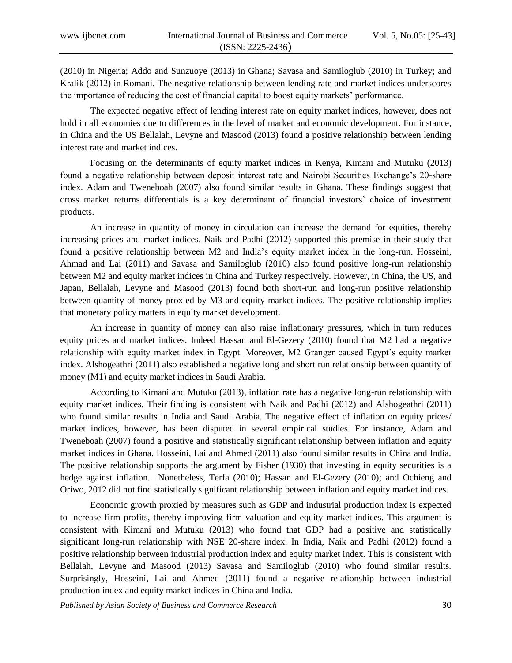(2010) in Nigeria; Addo and Sunzuoye (2013) in Ghana; Savasa and Samiloglub (2010) in Turkey; and Kralik (2012) in Romani. The negative relationship between lending rate and market indices underscores the importance of reducing the cost of financial capital to boost equity markets' performance.

The expected negative effect of lending interest rate on equity market indices, however, does not hold in all economies due to differences in the level of market and economic development. For instance, in China and the US Bellalah, Levyne and Masood (2013) found a positive relationship between lending interest rate and market indices.

Focusing on the determinants of equity market indices in Kenya, Kimani and Mutuku (2013) found a negative relationship between deposit interest rate and Nairobi Securities Exchange's 20-share index. Adam and Tweneboah (2007) also found similar results in Ghana. These findings suggest that cross market returns differentials is a key determinant of financial investors' choice of investment products.

An increase in quantity of money in circulation can increase the demand for equities, thereby increasing prices and market indices. Naik and Padhi (2012) supported this premise in their study that found a positive relationship between M2 and India's equity market index in the long-run. Hosseini, Ahmad and Lai (2011) and Savasa and Samiloglub (2010) also found positive long-run relationship between M2 and equity market indices in China and Turkey respectively. However, in China, the US, and Japan, Bellalah, Levyne and Masood (2013) found both short-run and long-run positive relationship between quantity of money proxied by M3 and equity market indices. The positive relationship implies that monetary policy matters in equity market development.

An increase in quantity of money can also raise inflationary pressures, which in turn reduces equity prices and market indices. Indeed Hassan and El-Gezery (2010) found that M2 had a negative relationship with equity market index in Egypt. Moreover, M2 Granger caused Egypt's equity market index. Alshogeathri (2011) also established a negative long and short run relationship between quantity of money (M1) and equity market indices in Saudi Arabia.

According to Kimani and Mutuku (2013), inflation rate has a negative long-run relationship with equity market indices. Their finding is consistent with Naik and Padhi (2012) and Alshogeathri (2011) who found similar results in India and Saudi Arabia. The negative effect of inflation on equity prices/ market indices, however, has been disputed in several empirical studies. For instance, Adam and Tweneboah (2007) found a positive and statistically significant relationship between inflation and equity market indices in Ghana. Hosseini, Lai and Ahmed (2011) also found similar results in China and India. The positive relationship supports the argument by Fisher (1930) that investing in equity securities is a hedge against inflation. Nonetheless, Terfa (2010); Hassan and El-Gezery (2010); and Ochieng and Oriwo, 2012 did not find statistically significant relationship between inflation and equity market indices.

Economic growth proxied by measures such as GDP and industrial production index is expected to increase firm profits, thereby improving firm valuation and equity market indices. This argument is consistent with Kimani and Mutuku (2013) who found that GDP had a positive and statistically significant long-run relationship with NSE 20-share index. In India, Naik and Padhi (2012) found a positive relationship between industrial production index and equity market index. This is consistent with Bellalah, Levyne and Masood (2013) Savasa and Samiloglub (2010) who found similar results. Surprisingly, Hosseini, Lai and Ahmed (2011) found a negative relationship between industrial production index and equity market indices in China and India.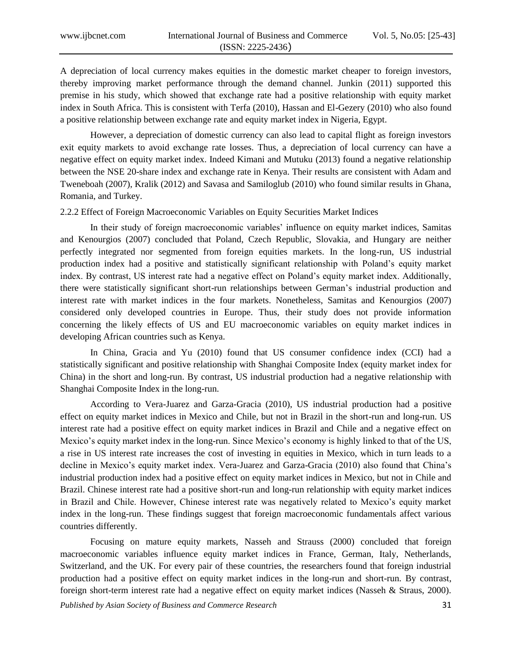A depreciation of local currency makes equities in the domestic market cheaper to foreign investors, thereby improving market performance through the demand channel. Junkin (2011) supported this premise in his study, which showed that exchange rate had a positive relationship with equity market index in South Africa. This is consistent with Terfa (2010), Hassan and El-Gezery (2010) who also found a positive relationship between exchange rate and equity market index in Nigeria, Egypt.

However, a depreciation of domestic currency can also lead to capital flight as foreign investors exit equity markets to avoid exchange rate losses. Thus, a depreciation of local currency can have a negative effect on equity market index. Indeed Kimani and Mutuku (2013) found a negative relationship between the NSE 20-share index and exchange rate in Kenya. Their results are consistent with Adam and Tweneboah (2007), Kralik (2012) and Savasa and Samiloglub (2010) who found similar results in Ghana, Romania, and Turkey.

2.2.2 Effect of Foreign Macroeconomic Variables on Equity Securities Market Indices

In their study of foreign macroeconomic variables' influence on equity market indices, Samitas and Kenourgios (2007) concluded that Poland, Czech Republic, Slovakia, and Hungary are neither perfectly integrated nor segmented from foreign equities markets. In the long-run, US industrial production index had a positive and statistically significant relationship with Poland's equity market index. By contrast, US interest rate had a negative effect on Poland's equity market index. Additionally, there were statistically significant short-run relationships between German's industrial production and interest rate with market indices in the four markets. Nonetheless, Samitas and Kenourgios (2007) considered only developed countries in Europe. Thus, their study does not provide information concerning the likely effects of US and EU macroeconomic variables on equity market indices in developing African countries such as Kenya.

In China, Gracia and Yu (2010) found that US consumer confidence index (CCI) had a statistically significant and positive relationship with Shanghai Composite Index (equity market index for China) in the short and long-run. By contrast, US industrial production had a negative relationship with Shanghai Composite Index in the long-run.

According to Vera-Juarez and Garza-Gracia (2010), US industrial production had a positive effect on equity market indices in Mexico and Chile, but not in Brazil in the short-run and long-run. US interest rate had a positive effect on equity market indices in Brazil and Chile and a negative effect on Mexico's equity market index in the long-run. Since Mexico's economy is highly linked to that of the US, a rise in US interest rate increases the cost of investing in equities in Mexico, which in turn leads to a decline in Mexico's equity market index. Vera-Juarez and Garza-Gracia (2010) also found that China's industrial production index had a positive effect on equity market indices in Mexico, but not in Chile and Brazil. Chinese interest rate had a positive short-run and long-run relationship with equity market indices in Brazil and Chile. However, Chinese interest rate was negatively related to Mexico's equity market index in the long-run. These findings suggest that foreign macroeconomic fundamentals affect various countries differently.

Focusing on mature equity markets, Nasseh and Strauss (2000) concluded that foreign macroeconomic variables influence equity market indices in France, German, Italy, Netherlands, Switzerland, and the UK. For every pair of these countries, the researchers found that foreign industrial production had a positive effect on equity market indices in the long-run and short-run. By contrast, foreign short-term interest rate had a negative effect on equity market indices (Nasseh & Straus, 2000).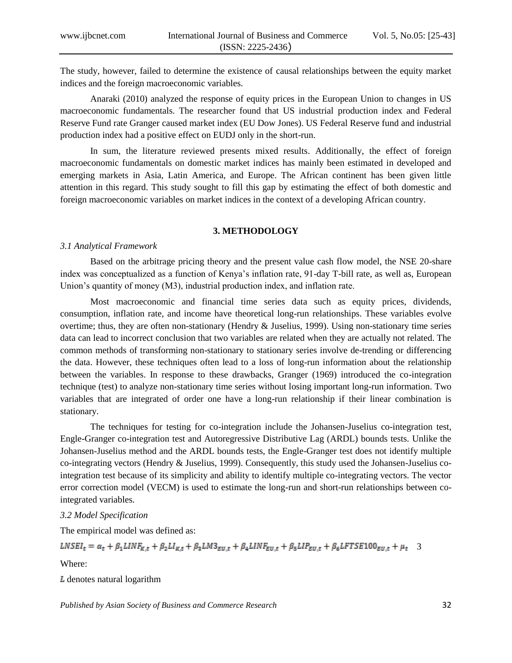The study, however, failed to determine the existence of causal relationships between the equity market indices and the foreign macroeconomic variables.

Anaraki (2010) analyzed the response of equity prices in the European Union to changes in US macroeconomic fundamentals. The researcher found that US industrial production index and Federal Reserve Fund rate Granger caused market index (EU Dow Jones). US Federal Reserve fund and industrial production index had a positive effect on EUDJ only in the short-run.

In sum, the literature reviewed presents mixed results. Additionally, the effect of foreign macroeconomic fundamentals on domestic market indices has mainly been estimated in developed and emerging markets in Asia, Latin America, and Europe. The African continent has been given little attention in this regard. This study sought to fill this gap by estimating the effect of both domestic and foreign macroeconomic variables on market indices in the context of a developing African country.

## **3. METHODOLOGY**

#### *3.1 Analytical Framework*

Based on the arbitrage pricing theory and the present value cash flow model, the NSE 20-share index was conceptualized as a function of Kenya's inflation rate, 91-day T-bill rate, as well as, European Union's quantity of money (M3), industrial production index, and inflation rate.

Most macroeconomic and financial time series data such as equity prices, dividends, consumption, inflation rate, and income have theoretical long-run relationships. These variables evolve overtime; thus, they are often non-stationary (Hendry & Juselius, 1999). Using non-stationary time series data can lead to incorrect conclusion that two variables are related when they are actually not related. The common methods of transforming non-stationary to stationary series involve de-trending or differencing the data. However, these techniques often lead to a loss of long-run information about the relationship between the variables. In response to these drawbacks, Granger (1969) introduced the co-integration technique (test) to analyze non-stationary time series without losing important long-run information. Two variables that are integrated of order one have a long-run relationship if their linear combination is stationary.

The techniques for testing for co-integration include the Johansen-Juselius co-integration test, Engle-Granger co-integration test and Autoregressive Distributive Lag (ARDL) bounds tests. Unlike the Johansen-Juselius method and the ARDL bounds tests, the Engle-Granger test does not identify multiple co-integrating vectors (Hendry & Juselius, 1999). Consequently, this study used the Johansen-Juselius cointegration test because of its simplicity and ability to identify multiple co-integrating vectors. The vector error correction model (VECM) is used to estimate the long-run and short-run relationships between cointegrated variables.

## *3.2 Model Specification*

The empirical model was defined as:

 $\label{eq:LSE1} LNSEI_t = \alpha_t + \beta_1 LINF_{K,t} + \beta_2 LI_{K,t} + \beta_3 LM3_{EU,t} + \beta_4 LINF_{EU,t} + \beta_5 LIP_{EU,t} + \beta_6 LFTSE100_{EU,t} + \mu_t \quad 3$ 

Where:

 $L$  denotes natural logarithm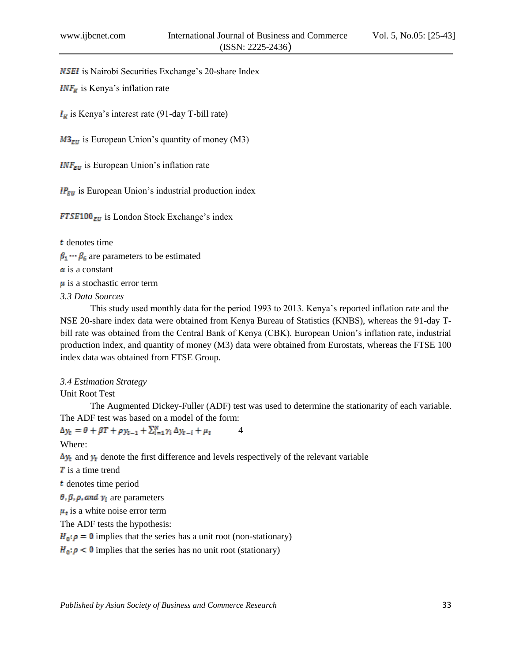**NSEI** is Nairobi Securities Exchange's 20-share Index

 $INF_R$  is Kenya's inflation rate

 $I_{\kappa}$  is Kenya's interest rate (91-day T-bill rate)

 $M3_{\text{EU}}$  is European Union's quantity of money (M3)

 $INF_{EU}$  is European Union's inflation rate

 $IP_{EU}$  is European Union's industrial production index

 $FTSE100<sub>EU</sub>$  is London Stock Exchange's index

**t** denotes time  $\beta_1 \cdots \beta_6$  are parameters to be estimated  $\alpha$  is a constant  $\mu$  is a stochastic error term

*3.3 Data Sources* 

This study used monthly data for the period 1993 to 2013. Kenya's reported inflation rate and the NSE 20-share index data were obtained from Kenya Bureau of Statistics (KNBS), whereas the 91-day Tbill rate was obtained from the Central Bank of Kenya (CBK). European Union's inflation rate, industrial production index, and quantity of money (M3) data were obtained from Eurostats, whereas the FTSE 100 index data was obtained from FTSE Group.

#### *3.4 Estimation Strategy*

Unit Root Test

The Augmented Dickey-Fuller (ADF) test was used to determine the stationarity of each variable. The ADF test was based on a model of the form:

 $\Delta y_t = \theta + \beta T + \rho y_{t-1} + \sum_{i=1}^{N} \gamma_i \Delta y_{t-i} + \mu_t$  4 Where:  $\Delta y_t$  and  $y_t$  denote the first difference and levels respectively of the relevant variable **T** is a time trend denotes time period  $\theta$ ,  $\beta$ ,  $\rho$ , and  $\gamma_i$  are parameters  $\mu_t$  is a white noise error term The ADF tests the hypothesis:  $H_0: \rho = 0$  implies that the series has a unit root (non-stationary)  $H_0: \rho < 0$  implies that the series has no unit root (stationary)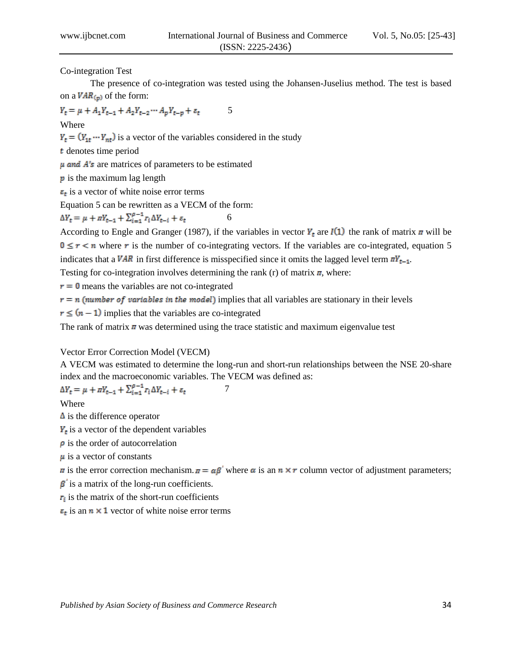Co-integration Test

The presence of co-integration was tested using the Johansen-Juselius method. The test is based on a  $VAR_{(p)}$  of the form:

$$
Y_t = \mu + A_1 Y_{t-1} + A_2 Y_{t-2} \cdots A_p Y_{t-p} + \varepsilon_t \tag{5}
$$

Where

 $Y_t = (Y_{1t} \cdots Y_{nt})$  is a vector of the variables considered in the study

denotes time period

 $\mu$  and  $A$ 's are matrices of parameters to be estimated

 $\bf{p}$  is the maximum lag length

 $\epsilon_t$  is a vector of white noise error terms

Equation 5 can be rewritten as a VECM of the form:

 $\Delta Y_t = \mu + \pi Y_{t-1} + \sum_{i=1}^{\rho-1} r_i \Delta Y_{t-i} + \varepsilon_t$  6

According to Engle and Granger (1987), if the variables in vector  $Y_t$  are  $I(1)$  the rank of matrix  $\pi$  will be  $0 \le r < n$  where r is the number of co-integrating vectors. If the variables are co-integrated, equation 5 indicates that a VAR in first difference is misspecified since it omits the lagged level term  $\pi Y_{t-1}$ . Testing for co-integration involves determining the rank (r) of matrix  $\pi$ , where:

 $r = 0$  means the variables are not co-integrated

 $r = n$  (number of variables in the model) implies that all variables are stationary in their levels

 $r \leq (n-1)$  implies that the variables are co-integrated

The rank of matrix  $\pi$  was determined using the trace statistic and maximum eigenvalue test

### Vector Error Correction Model (VECM)

A VECM was estimated to determine the long-run and short-run relationships between the NSE 20-share index and the macroeconomic variables. The VECM was defined as:

$$
\Delta Y_t = \mu + \pi Y_{t-1} + \sum_{i=1}^{\rho-1} r_i \Delta Y_{t-i} + \varepsilon_t \tag{7}
$$

Where

 $\Delta$  is the difference operator

 $Y_t$  is a vector of the dependent variables

 $\boldsymbol{\rho}$  is the order of autocorrelation

 $\mu$  is a vector of constants

 $\pi$  is the error correction mechanism.  $\pi = \alpha \beta'$  where  $\alpha$  is an  $n \times r$  column vector of adjustment parameters;

 $\beta$  is a matrix of the long-run coefficients.

 $\mathbf{r}_i$  is the matrix of the short-run coefficients

 $\epsilon_t$  is an  $n \times 1$  vector of white noise error terms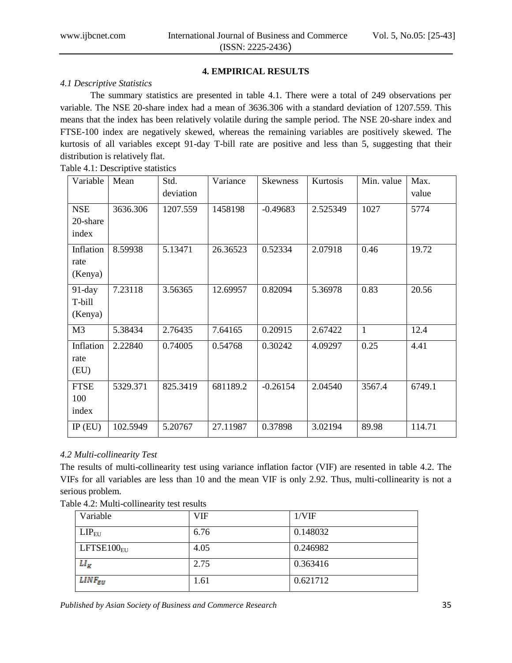# **4. EMPIRICAL RESULTS**

## *4.1 Descriptive Statistics*

The summary statistics are presented in table 4.1. There were a total of 249 observations per variable. The NSE 20-share index had a mean of 3636.306 with a standard deviation of 1207.559. This means that the index has been relatively volatile during the sample period. The NSE 20-share index and FTSE-100 index are negatively skewed, whereas the remaining variables are positively skewed. The kurtosis of all variables except 91-day T-bill rate are positive and less than 5, suggesting that their distribution is relatively flat.

Table 4.1: Descriptive statistics

| Variable                        | Mean     | Std.<br>deviation | Variance | <b>Skewness</b> | Kurtosis | Min. value   | Max.<br>value |
|---------------------------------|----------|-------------------|----------|-----------------|----------|--------------|---------------|
| <b>NSE</b><br>20-share<br>index | 3636.306 | 1207.559          | 1458198  | $-0.49683$      | 2.525349 | 1027         | 5774          |
| Inflation<br>rate<br>(Kenya)    | 8.59938  | 5.13471           | 26.36523 | 0.52334         | 2.07918  | 0.46         | 19.72         |
| $91$ -day<br>T-bill<br>(Kenya)  | 7.23118  | 3.56365           | 12.69957 | 0.82094         | 5.36978  | 0.83         | 20.56         |
| M <sub>3</sub>                  | 5.38434  | 2.76435           | 7.64165  | 0.20915         | 2.67422  | $\mathbf{1}$ | 12.4          |
| Inflation<br>rate<br>(EU)       | 2.22840  | 0.74005           | 0.54768  | 0.30242         | 4.09297  | 0.25         | 4.41          |
| <b>FTSE</b><br>100<br>index     | 5329.371 | 825.3419          | 681189.2 | $-0.26154$      | 2.04540  | 3567.4       | 6749.1        |
| $IP$ (EU)                       | 102.5949 | 5.20767           | 27.11987 | 0.37898         | 3.02194  | 89.98        | 114.71        |

# *4.2 Multi-collinearity Test*

The results of multi-collinearity test using variance inflation factor (VIF) are resented in table 4.2. The VIFs for all variables are less than 10 and the mean VIF is only 2.92. Thus, multi-collinearity is not a serious problem.

| Variable                | VIF  | 1/VIF    |
|-------------------------|------|----------|
| $LIP_{EU}$              | 6.76 | 0.148032 |
| LFTSE100 <sub>FII</sub> | 4.05 | 0.246982 |
| $LI_R$                  | 2.75 | 0.363416 |
| $LINE_{EU}$             | 1.61 | 0.621712 |

| Table 4.2: Multi-collinearity test results |  |
|--------------------------------------------|--|
|                                            |  |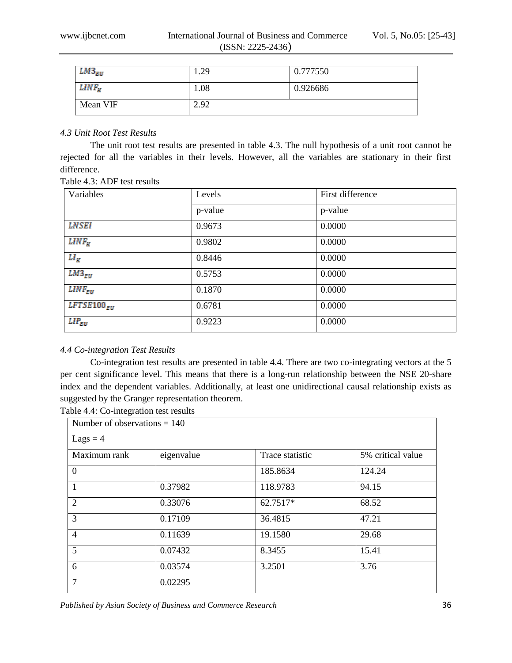| $LM3_{EU}$ | 1.29 | 0.777550 |
|------------|------|----------|
| $LINF_K$   | 1.08 | 0.926686 |
| Mean VIF   | 2.92 |          |

## *4.3 Unit Root Test Results*

The unit root test results are presented in table 4.3. The null hypothesis of a unit root cannot be rejected for all the variables in their levels. However, all the variables are stationary in their first difference.

| Variables       | Levels  | First difference |
|-----------------|---------|------------------|
|                 | p-value | p-value          |
| <b>LNSEI</b>    | 0.9673  | 0.0000           |
| $LINF_K$        | 0.9802  | 0.0000           |
| $LI_R$          | 0.8446  | 0.0000           |
| $LM3_{EU}$      | 0.5753  | 0.0000           |
| $LINF_{EU}$     | 0.1870  | 0.0000           |
| $LFTSE100_{EU}$ | 0.6781  | 0.0000           |
| $LIP_{EU}$      | 0.9223  | 0.0000           |

## Table 4.3: ADF test results

# *4.4 Co-integration Test Results*

Co-integration test results are presented in table 4.4. There are two co-integrating vectors at the 5 per cent significance level. This means that there is a long-run relationship between the NSE 20-share index and the dependent variables. Additionally, at least one unidirectional causal relationship exists as suggested by the Granger representation theorem. Table 4.4: Co-integration test results

| Number of observations $= 140$ |            |                 |                   |
|--------------------------------|------------|-----------------|-------------------|
| $Lags = 4$                     |            |                 |                   |
| Maximum rank                   | eigenvalue | Trace statistic | 5% critical value |
| $\Omega$                       |            | 185.8634        | 124.24            |
| $\mathbf{1}$                   | 0.37982    | 118.9783        | 94.15             |
| 2                              | 0.33076    | 62.7517*        | 68.52             |
| 3                              | 0.17109    | 36.4815         | 47.21             |
| $\overline{4}$                 | 0.11639    | 19.1580         | 29.68             |
| 5                              | 0.07432    | 8.3455          | 15.41             |
| 6                              | 0.03574    | 3.2501          | 3.76              |
| $\overline{7}$                 | 0.02295    |                 |                   |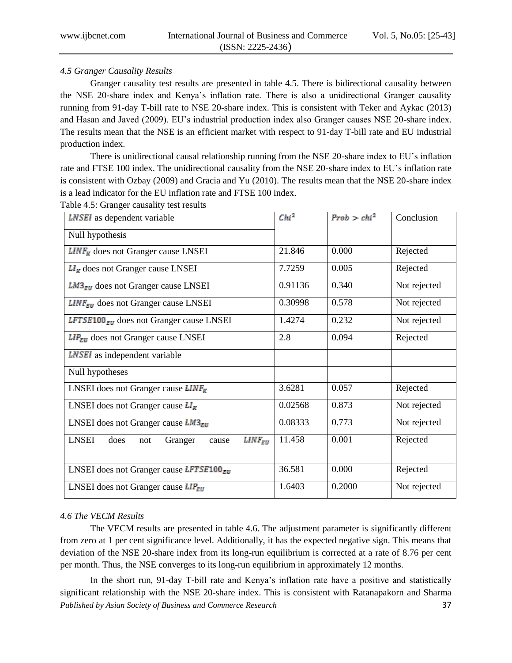## *4.5 Granger Causality Results*

Granger causality test results are presented in table 4.5. There is bidirectional causality between the NSE 20-share index and Kenya's inflation rate. There is also a unidirectional Granger causality running from 91-day T-bill rate to NSE 20-share index. This is consistent with Teker and Aykac (2013) and Hasan and Javed (2009). EU's industrial production index also Granger causes NSE 20-share index. The results mean that the NSE is an efficient market with respect to 91-day T-bill rate and EU industrial production index.

There is unidirectional causal relationship running from the NSE 20-share index to EU's inflation rate and FTSE 100 index. The unidirectional causality from the NSE 20-share index to EU's inflation rate is consistent with Ozbay (2009) and Gracia and Yu (2010). The results mean that the NSE 20-share index is a lead indicator for the EU inflation rate and FTSE 100 index.

| <b>LNSEI</b> as dependent variable                             | $Chi^2$ | $Prob > chi^2$ | Conclusion   |
|----------------------------------------------------------------|---------|----------------|--------------|
| Null hypothesis                                                |         |                |              |
| $LINF_R$ does not Granger cause LNSEI                          | 21.846  | 0.000          | Rejected     |
| $LI_R$ does not Granger cause LNSEI                            | 7.7259  | 0.005          | Rejected     |
| $LM3_{\text{EU}}$ does not Granger cause LNSEI                 | 0.91136 | 0.340          | Not rejected |
| $LINF_{EU}$ does not Granger cause LNSEI                       | 0.30998 | 0.578          | Not rejected |
| LFTSE100 $_{EU}$ does not Granger cause LNSEI                  | 1.4274  | 0.232          | Not rejected |
| $LIP_{EU}$ does not Granger cause LNSEI                        | 2.8     | 0.094          | Rejected     |
| <b>LNSEI</b> as independent variable                           |         |                |              |
| Null hypotheses                                                |         |                |              |
| LNSEI does not Granger cause $LINF_R$                          | 3.6281  | 0.057          | Rejected     |
| LNSEI does not Granger cause $LI_R$                            | 0.02568 | 0.873          | Not rejected |
| LNSEI does not Granger cause $LM3_{\text{EU}}$                 | 0.08333 | 0.773          | Not rejected |
| <b>LNSEI</b><br>$LINE_{EU}$<br>does<br>Granger<br>not<br>cause | 11.458  | 0.001          | Rejected     |
| LNSEI does not Granger cause LFTSE100 $_{EU}$                  | 36.581  | 0.000          | Rejected     |
| LNSEI does not Granger cause $LIP_{EU}$                        | 1.6403  | 0.2000         | Not rejected |

Table 4.5: Granger causality test results

# *4.6 The VECM Results*

The VECM results are presented in table 4.6. The adjustment parameter is significantly different from zero at 1 per cent significance level. Additionally, it has the expected negative sign. This means that deviation of the NSE 20-share index from its long-run equilibrium is corrected at a rate of 8.76 per cent per month. Thus, the NSE converges to its long-run equilibrium in approximately 12 months.

*Published by Asian Society of Business and Commerce Research* 37 In the short run, 91-day T-bill rate and Kenya's inflation rate have a positive and statistically significant relationship with the NSE 20-share index. This is consistent with Ratanapakorn and Sharma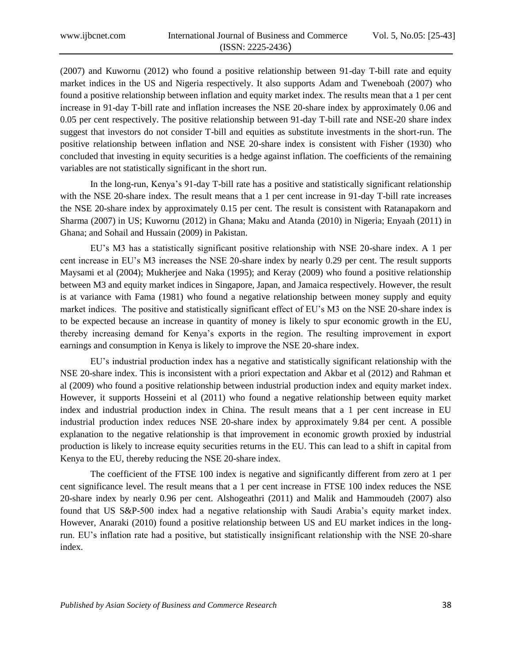(2007) and Kuwornu (2012) who found a positive relationship between 91-day T-bill rate and equity market indices in the US and Nigeria respectively. It also supports Adam and Tweneboah (2007) who found a positive relationship between inflation and equity market index. The results mean that a 1 per cent increase in 91-day T-bill rate and inflation increases the NSE 20-share index by approximately 0.06 and 0.05 per cent respectively. The positive relationship between 91-day T-bill rate and NSE-20 share index suggest that investors do not consider T-bill and equities as substitute investments in the short-run. The positive relationship between inflation and NSE 20-share index is consistent with Fisher (1930) who concluded that investing in equity securities is a hedge against inflation. The coefficients of the remaining variables are not statistically significant in the short run.

In the long-run, Kenya's 91-day T-bill rate has a positive and statistically significant relationship with the NSE 20-share index. The result means that a 1 per cent increase in 91-day T-bill rate increases the NSE 20-share index by approximately 0.15 per cent. The result is consistent with Ratanapakorn and Sharma (2007) in US; Kuwornu (2012) in Ghana; Maku and Atanda (2010) in Nigeria; Enyaah (2011) in Ghana; and Sohail and Hussain (2009) in Pakistan.

EU's M3 has a statistically significant positive relationship with NSE 20-share index. A 1 per cent increase in EU's M3 increases the NSE 20-share index by nearly 0.29 per cent. The result supports Maysami et al (2004); Mukherjee and Naka (1995); and Keray (2009) who found a positive relationship between M3 and equity market indices in Singapore, Japan, and Jamaica respectively. However, the result is at variance with Fama (1981) who found a negative relationship between money supply and equity market indices. The positive and statistically significant effect of EU's M3 on the NSE 20-share index is to be expected because an increase in quantity of money is likely to spur economic growth in the EU, thereby increasing demand for Kenya's exports in the region. The resulting improvement in export earnings and consumption in Kenya is likely to improve the NSE 20-share index.

EU's industrial production index has a negative and statistically significant relationship with the NSE 20-share index. This is inconsistent with a priori expectation and Akbar et al (2012) and Rahman et al (2009) who found a positive relationship between industrial production index and equity market index. However, it supports Hosseini et al (2011) who found a negative relationship between equity market index and industrial production index in China. The result means that a 1 per cent increase in EU industrial production index reduces NSE 20-share index by approximately 9.84 per cent. A possible explanation to the negative relationship is that improvement in economic growth proxied by industrial production is likely to increase equity securities returns in the EU. This can lead to a shift in capital from Kenya to the EU, thereby reducing the NSE 20-share index.

The coefficient of the FTSE 100 index is negative and significantly different from zero at 1 per cent significance level. The result means that a 1 per cent increase in FTSE 100 index reduces the NSE 20-share index by nearly 0.96 per cent. Alshogeathri (2011) and Malik and Hammoudeh (2007) also found that US S&P-500 index had a negative relationship with Saudi Arabia's equity market index. However, Anaraki (2010) found a positive relationship between US and EU market indices in the longrun. EU's inflation rate had a positive, but statistically insignificant relationship with the NSE 20-share index.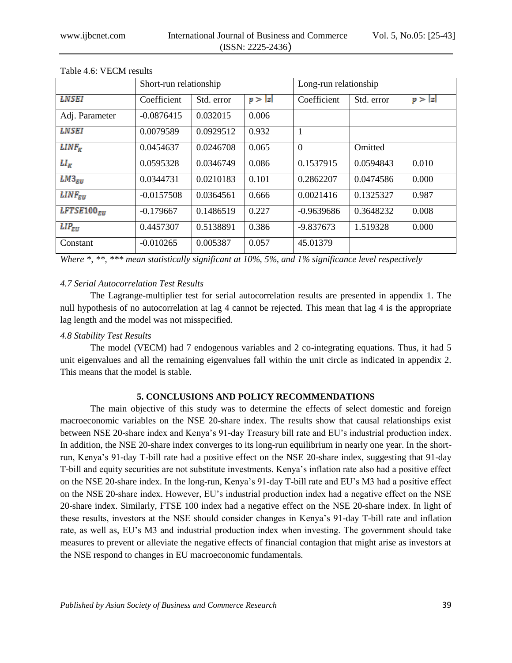|                 | Short-run relationship |            |       | Long-run relationship |            |       |
|-----------------|------------------------|------------|-------|-----------------------|------------|-------|
| <b>LNSEI</b>    | Coefficient            | Std. error | p> z  | Coefficient           | Std. error | p> z  |
| Adj. Parameter  | $-0.0876415$           | 0.032015   | 0.006 |                       |            |       |
| <b>LNSEI</b>    | 0.0079589              | 0.0929512  | 0.932 | 1                     |            |       |
| $LINF_{K}$      | 0.0454637              | 0.0246708  | 0.065 | $\overline{0}$        | Omitted    |       |
| $LI_{K}$        | 0.0595328              | 0.0346749  | 0.086 | 0.1537915             | 0.0594843  | 0.010 |
| $LM3_{EU}$      | 0.0344731              | 0.0210183  | 0.101 | 0.2862207             | 0.0474586  | 0.000 |
| $LINF_{EII}$    | $-0.0157508$           | 0.0364561  | 0.666 | 0.0021416             | 0.1325327  | 0.987 |
| $LFTSE100_{EU}$ | $-0.179667$            | 0.1486519  | 0.227 | $-0.9639686$          | 0.3648232  | 0.008 |
| $LIP_{EU}$      | 0.4457307              | 0.5138891  | 0.386 | $-9.837673$           | 1.519328   | 0.000 |
| Constant        | $-0.010265$            | 0.005387   | 0.057 | 45.01379              |            |       |

Table 4.6: VECM results

*Where \*, \*\*, \*\*\* mean statistically significant at 10%, 5%, and 1% significance level respectively*

## *4.7 Serial Autocorrelation Test Results*

The Lagrange-multiplier test for serial autocorrelation results are presented in appendix 1. The null hypothesis of no autocorrelation at lag 4 cannot be rejected. This mean that lag 4 is the appropriate lag length and the model was not misspecified.

## *4.8 Stability Test Results*

The model (VECM) had 7 endogenous variables and 2 co-integrating equations. Thus, it had 5 unit eigenvalues and all the remaining eigenvalues fall within the unit circle as indicated in appendix 2. This means that the model is stable.

## **5. CONCLUSIONS AND POLICY RECOMMENDATIONS**

The main objective of this study was to determine the effects of select domestic and foreign macroeconomic variables on the NSE 20-share index. The results show that causal relationships exist between NSE 20-share index and Kenya's 91-day Treasury bill rate and EU's industrial production index. In addition, the NSE 20-share index converges to its long-run equilibrium in nearly one year. In the shortrun, Kenya's 91-day T-bill rate had a positive effect on the NSE 20-share index, suggesting that 91-day T-bill and equity securities are not substitute investments. Kenya's inflation rate also had a positive effect on the NSE 20-share index. In the long-run, Kenya's 91-day T-bill rate and EU's M3 had a positive effect on the NSE 20-share index. However, EU's industrial production index had a negative effect on the NSE 20-share index. Similarly, FTSE 100 index had a negative effect on the NSE 20-share index. In light of these results, investors at the NSE should consider changes in Kenya's 91-day T-bill rate and inflation rate, as well as, EU's M3 and industrial production index when investing. The government should take measures to prevent or alleviate the negative effects of financial contagion that might arise as investors at the NSE respond to changes in EU macroeconomic fundamentals.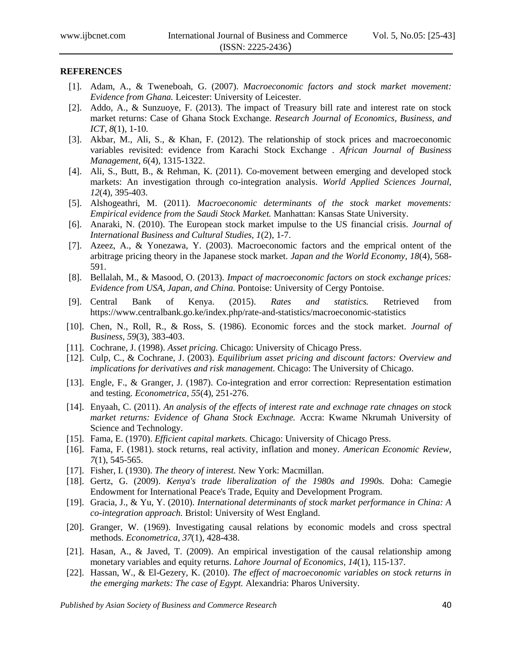#### **REFERENCES**

- [1]. Adam, A., & Tweneboah, G. (2007). *Macroeconomic factors and stock market movement: Evidence from Ghana.* Leicester: University of Leicester.
- [2]. Addo, A., & Sunzuoye, F. (2013). The impact of Treasury bill rate and interest rate on stock market returns: Case of Ghana Stock Exchange. *Research Journal of Economics, Business, and ICT, 8*(1), 1-10.
- [3]. Akbar, M., Ali, S., & Khan, F. (2012). The relationship of stock prices and macroeconomic variables revisited: evidence from Karachi Stock Exchange . *African Journal of Business Management, 6*(4), 1315-1322.
- [4]. Ali, S., Butt, B., & Rehman, K. (2011). Co-movement between emerging and developed stock markets: An investigation through co-integration analysis. *World Applied Sciences Journal, 12*(4), 395-403.
- [5]. Alshogeathri, M. (2011). *Macroeconomic determinants of the stock market movements: Empirical evidence from the Saudi Stock Market.* Manhattan: Kansas State University.
- [6]. Anaraki, N. (2010). The European stock market impulse to the US financial crisis. *Journal of International Business and Cultural Studies, 1*(2), 1-7.
- [7]. Azeez, A., & Yonezawa, Y. (2003). Macroeconomic factors and the emprical ontent of the arbitrage pricing theory in the Japanese stock market. *Japan and the World Economy, 18*(4), 568- 591.
- [8]. Bellalah, M., & Masood, O. (2013). *Impact of macroeconomic factors on stock exchange prices: Evidence from USA, Japan, and China.* Pontoise: University of Cergy Pontoise.
- [9]. Central Bank of Kenya. (2015). *Rates and statistics.* Retrieved from https://www.centralbank.go.ke/index.php/rate-and-statistics/macroeconomic-statistics
- [10]. Chen, N., Roll, R., & Ross, S. (1986). Economic forces and the stock market. *Journal of Business, 59*(3), 383-403.
- [11]. Cochrane, J. (1998). *Asset pricing.* Chicago: University of Chicago Press.
- [12]. Culp, C., & Cochrane, J. (2003). *Equilibrium asset pricing and discount factors: Overview and implications for derivatives and risk management.* Chicago: The University of Chicago.
- [13]. Engle, F., & Granger, J. (1987). Co-integration and error correction: Representation estimation and testing. *Econometrica*, *55*(4), 251-276.
- [14]. Enyaah, C. (2011). *An analysis of the effects of interest rate and exchnage rate chnages on stock market returns: Evidence of Ghana Stock Exchnage.* Accra: Kwame Nkrumah University of Science and Technology.
- [15]. Fama, E. (1970). *Efficient capital markets.* Chicago: University of Chicago Press.
- [16]. Fama, F. (1981). stock returns, real activity, inflation and money. *American Economic Review, 7*(1), 545-565.
- [17]. Fisher, I. (1930). *The theory of interest.* New York: Macmillan.
- [18]. Gertz, G. (2009). *Kenya's trade liberalization of the 1980s and 1990s.* Doha: Camegie Endowment for International Peace's Trade, Equity and Development Program.
- [19]. Gracia, J., & Yu, Y. (2010). *International determinants of stock market performance in China: A co-integration approach.* Bristol: University of West England.
- [20]. Granger, W. (1969). Investigating causal relations by economic models and cross spectral methods. *Econometrica*, *37*(1), 428-438.
- [21]. Hasan, A., & Javed, T. (2009). An empirical investigation of the causal relationship among monetary variables and equity returns. *Lahore Journal of Economics, 14*(1), 115-137.
- [22]. Hassan, W., & El-Gezery, K. (2010). *The effect of macroeconomic variables on stock returns in the emerging markets: The case of Egypt.* Alexandria: Pharos University.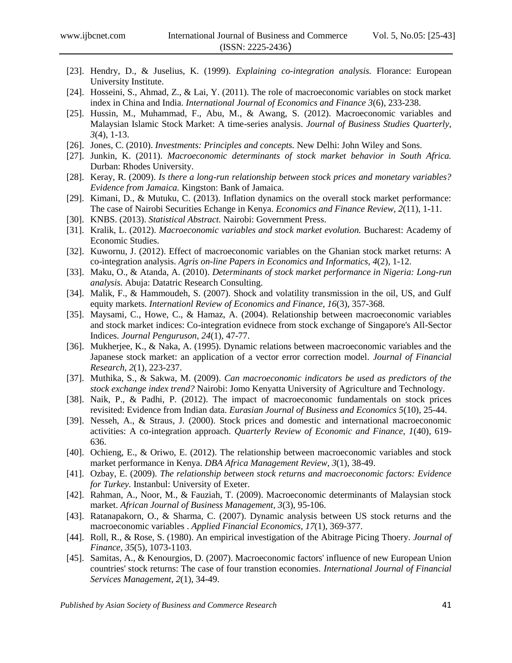- [23]. Hendry, D., & Juselius, K. (1999). *Explaining co-integration analysis.* Florance: European University Institute.
- [24]. Hosseini, S., Ahmad, Z., & Lai, Y. (2011). The role of macroeconomic variables on stock market index in China and India. *International Journal of Economics and Finance 3*(6), 233-238.
- [25]. Hussin, M., Muhammad, F., Abu, M., & Awang, S. (2012). Macroeconomic variables and Malaysian Islamic Stock Market: A time-series analysis. *Journal of Business Studies Quarterly, 3*(4), 1-13.
- [26]. Jones, C. (2010). *Investments: Principles and concepts.* New Delhi: John Wiley and Sons.
- [27]. Junkin, K. (2011). *Macroeconomic determinants of stock market behavior in South Africa.* Durban: Rhodes University.
- [28]. Keray, R. (2009). *Is there a long-run relationship between stock prices and monetary variables? Evidence from Jamaica.* Kingston: Bank of Jamaica.
- [29]. Kimani, D., & Mutuku, C. (2013). Inflation dynamics on the overall stock market performance: The case of Nairobi Securities Echange in Kenya. *Economics and Finance Review, 2*(11), 1-11.
- [30]. KNBS. (2013). *Statistical Abstract.* Nairobi: Government Press.
- [31]. Kralik, L. (2012). *Macroeconomic variables and stock market evolution.* Bucharest: Academy of Economic Studies.
- [32]. Kuwornu, J. (2012). Effect of macroeconomic variables on the Ghanian stock market returns: A co-integration analysis. *Agris on-line Papers in Economics and Informatics, 4*(2), 1-12.
- [33]. Maku, O., & Atanda, A. (2010). *Determinants of stock market performance in Nigeria: Long-run analysis.* Abuja: Datatric Research Consulting.
- [34]. Malik, F., & Hammoudeh, S. (2007). Shock and volatility transmission in the oil, US, and Gulf equity markets. *Internationl Review of Economics and Finance, 16*(3), 357-368.
- [35]. Maysami, C., Howe, C., & Hamaz, A. (2004). Relationship between macroeconomic variables and stock market indices: Co-integration evidnece from stock exchange of Singapore's All-Sector Indices. *Journal Penguruson, 24*(1), 47-77.
- [36]. Mukherjee, K., & Naka, A. (1995). Dynamic relations between macroeconomic variables and the Japanese stock market: an application of a vector error correction model. *Journal of Financial Research, 2*(1), 223-237.
- [37]. Muthika, S., & Sakwa, M. (2009). *Can macroeconomic indicators be used as predictors of the stock exchange index trend?* Nairobi: Jomo Kenyatta University of Agriculture and Technology.
- [38]. Naik, P., & Padhi, P. (2012). The impact of macroeconomic fundamentals on stock prices revisited: Evidence from Indian data. *Eurasian Journal of Business and Economics 5*(10), 25-44.
- [39]. Nesseh, A., & Straus, J. (2000). Stock prices and domestic and international macroeconomic activities: A co-integration approach. *Quarterly Review of Economic and Finance, 1*(40), 619- 636.
- [40]. Ochieng, E., & Oriwo, E. (2012). The relationship between macroeconomic variables and stock market performance in Kenya. *DBA Africa Management Review, 3*(1), 38-49.
- [41]. Ozbay, E. (2009). *The relationship between stock returns and macroeconomic factors: Evidence for Turkey.* Instanbul: University of Exeter.
- [42]. Rahman, A., Noor, M., & Fauziah, T. (2009). Macroeconomic determinants of Malaysian stock market. *African Journal of Business Management, 3*(3), 95-106.
- [43]. Ratanapakorn, O., & Sharma, C. (2007). Dynamic analysis between US stock returns and the macroeconomic variables . *Applied Financial Economics, 17*(1), 369-377.
- [44]. Roll, R., & Rose, S. (1980). An empirical investigation of the Abitrage Picing Thoery. *Journal of Finance, 35*(5), 1073-1103.
- [45]. Samitas, A., & Kenourgios, D. (2007). Macroeconomic factors' influence of new European Union countries' stock returns: The case of four transtion economies. *International Journal of Financial Services Management, 2*(1), 34-49.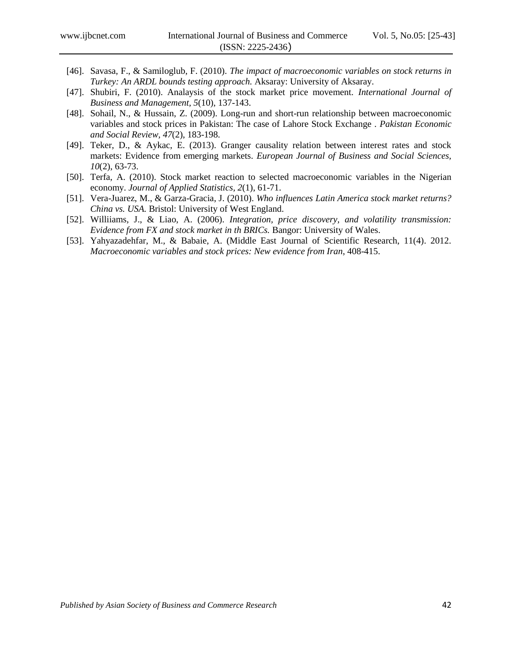- [46]. Savasa, F., & Samiloglub, F. (2010). *The impact of macroeconomic variables on stock returns in Turkey: An ARDL bounds testing approach.* Aksaray: University of Aksaray.
- [47]. Shubiri, F. (2010). Analaysis of the stock market price movement. *International Journal of Business and Management, 5*(10), 137-143.
- [48]. Sohail, N., & Hussain, Z. (2009). Long-run and short-run relationship between macroeconomic variables and stock prices in Pakistan: The case of Lahore Stock Exchange . *Pakistan Economic and Social Review, 47*(2), 183-198.
- [49]. Teker, D., & Aykac, E. (2013). Granger causality relation between interest rates and stock markets: Evidence from emerging markets. *European Journal of Business and Social Sciences, 10*(2), 63-73.
- [50]. Terfa, A. (2010). Stock market reaction to selected macroeconomic variables in the Nigerian economy. *Journal of Applied Statistics, 2*(1), 61-71.
- [51]. Vera-Juarez, M., & Garza-Gracia, J. (2010). *Who influences Latin America stock market returns? China vs. USA.* Bristol: University of West England.
- [52]. Williiams, J., & Liao, A. (2006). *Integration, price discovery, and volatility transmission: Evidence from FX and stock market in th BRICs.* Bangor: University of Wales.
- [53]. Yahyazadehfar, M., & Babaie, A. (Middle East Journal of Scientific Research, 11(4). 2012. *Macroeconomic variables and stock prices: New evidence from Iran*, 408-415.